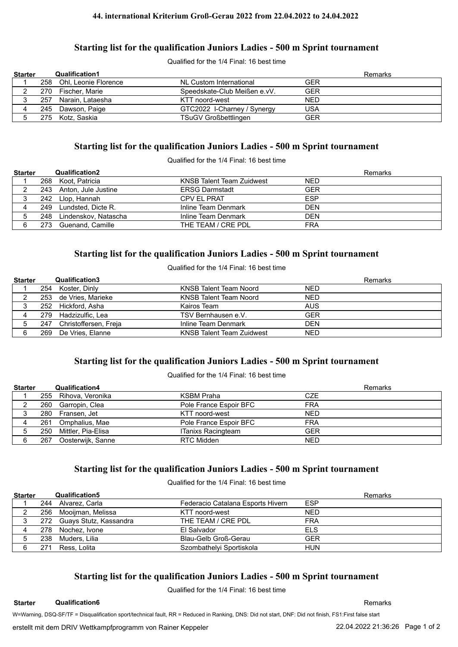#### **44. international Kriterium Groß-Gerau 2022 from 22.04.2022 to 24.04.2022**

#### **Starting list for the qualification Juniors Ladies - 500 m Sprint tournament**

Qualified for the 1/4 Final: 16 best time

| <b>Starter</b> |     | <b>Qualification1</b>    |                              |            | Remarks |
|----------------|-----|--------------------------|------------------------------|------------|---------|
|                |     | 258 Ohl, Leonie Florence | NL Custom International      | GER        |         |
|                | 270 | Fischer, Marie           | Speedskate-Club Meißen e.vV. | GER        |         |
|                | 257 | Narain, Lataesha         | KTT noord-west               | <b>NED</b> |         |
|                |     | 245 Dawson, Paige        | GTC2022 I-Charney / Synergy  | <b>USA</b> |         |
|                |     | 275 Kotz, Saskia         | <b>TSuGV Großbettlingen</b>  | GER        |         |

#### **Starting list for the qualification Juniors Ladies - 500 m Sprint tournament**

Qualified for the 1/4 Final: 16 best time

| <b>Starter</b> |      | Qualification2          |                                  | <b>Remarks</b> |
|----------------|------|-------------------------|----------------------------------|----------------|
|                |      | 268 Koot, Patricia      | <b>KNSB Talent Team Zuidwest</b> | <b>NED</b>     |
|                |      | 243 Anton, Jule Justine | <b>ERSG Darmstadt</b>            | <b>GER</b>     |
|                |      | 242 Llop, Hannah        | CPV EL PRAT                      | <b>ESP</b>     |
|                | 249  | Lundsted, Dicte R.      | Inline Team Denmark              | <b>DFN</b>     |
|                | 248  | Lindenskov, Natascha    | Inline Team Denmark              | <b>DEN</b>     |
|                | 273. | Guenand. Camille        | THE TEAM / CRE PDL               | <b>FRA</b>     |

#### **Starting list for the qualification Juniors Ladies - 500 m Sprint tournament**

Qualified for the 1/4 Final: 16 best time

| <b>Starter</b> |     | Qualification3        |                                  | <b>Remarks</b> |
|----------------|-----|-----------------------|----------------------------------|----------------|
|                | 254 | Koster, Dinly         | KNSB Talent Team Noord           | NED            |
|                |     | 253 de Vries, Marieke | KNSB Talent Team Noord           | <b>NED</b>     |
|                |     | 252 Hickford, Asha    | Kairos Team                      | <b>AUS</b>     |
|                | 279 | Hadzizulfic. Lea      | TSV Bernhausen e.V.              | <b>GER</b>     |
|                | 247 | Christoffersen, Freja | Inline Team Denmark              | <b>DEN</b>     |
|                | 269 | De Vries, Elanne      | <b>KNSB Talent Team Zuidwest</b> | NED            |

### **Starting list for the qualification Juniors Ladies - 500 m Sprint tournament**

Qualified for the 1/4 Final: 16 best time

| <b>Starter</b> |     | <b>Qualification4</b>  |                        | <b>Remarks</b> |
|----------------|-----|------------------------|------------------------|----------------|
|                |     | 255 Rihova, Veronika   | KSBM Praha             | <b>CZE</b>     |
|                |     | 260 Garropin, Clea     | Pole France Espoir BFC | <b>FRA</b>     |
|                |     | 280 Fransen, Jet       | KTT noord-west         | <b>NFD</b>     |
|                | 261 | Omphalius, Mae         | Pole France Espoir BFC | <b>FRA</b>     |
|                |     | 250 Mittler, Pia-Elisa | ITanixs Racingteam     | <b>GER</b>     |
|                | 267 | Oosterwijk, Sanne      | RTC Midden             | <b>NED</b>     |

### **Starting list for the qualification Juniors Ladies - 500 m Sprint tournament**

Qualified for the 1/4 Final: 16 best time

| <b>Starter</b> |     | <b>Qualification5</b>      |                                   |            | Remarks |
|----------------|-----|----------------------------|-----------------------------------|------------|---------|
|                |     | 244 Alvarez, Carla         | Federacio Catalana Esports Hivern | <b>ESP</b> |         |
|                |     | 256 Mooijman, Melissa      | KTT noord-west                    | <b>NED</b> |         |
|                |     | 272 Guays Stutz, Kassandra | THE TEAM / CRE PDL                | <b>FRA</b> |         |
|                |     | 278 Nochez, Ivone          | El Salvador                       | ELS        |         |
|                |     | 238 Muders, Lilia          | Blau-Gelb Groß-Gerau              | <b>GER</b> |         |
|                | 271 | Ress. Lolita               | Szombathelyi Sportiskola          | <b>HUN</b> |         |

## **Starting list for the qualification Juniors Ladies - 500 m Sprint tournament**

Qualified for the 1/4 Final: 16 best time

**Starter Qualification6 Remarks** 

W=Warning, DSQ-SF/TF = Disqualification sport/technical fault, RR = Reduced in Ranking, DNS: Did not start, DNF: Did not finish, FS1:First false start